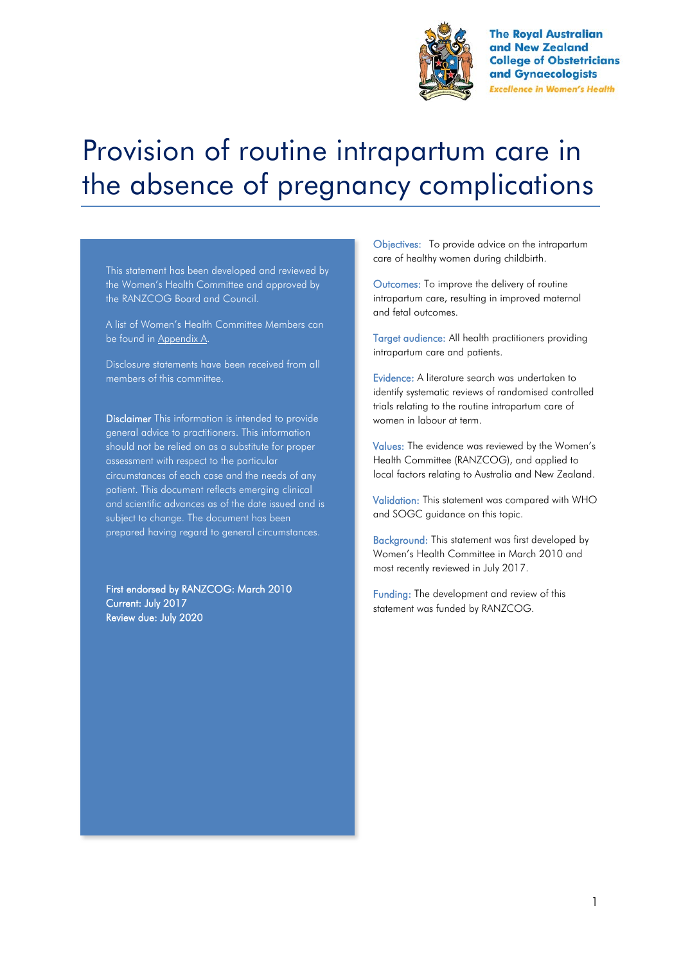

**The Royal Australian** and New Zealand **College of Obstetricians** and Gynaecologists **Excellence in Women's Health** 

# Provision of routine intrapartum care in the absence of pregnancy complications

This statement has been developed and reviewed by the Women's Health Committee and approved by the RANZCOG Board and Council.

A list of Women's Health Committee Members can be found in Appendix A.

Disclosure statements have been received from all members of this committee.

Disclaimer This information is intended to provide general advice to practitioners. This information should not be relied on as a substitute for proper assessment with respect to the particular circumstances of each case and the needs of any patient. This document reflects emerging clinical and scientific advances as of the date issued and is subject to change. The document has been prepared having regard to general circumstances.

First endorsed by RANZCOG: March 2010 Current: July 2017 Review due: July 2020

Objectives: To provide advice on the intrapartum care of healthy women during childbirth.

Outcomes: To improve the delivery of routine intrapartum care, resulting in improved maternal and fetal outcomes.

Target audience: All health practitioners providing intrapartum care and patients.

Evidence: A literature search was undertaken to identify systematic reviews of randomised controlled trials relating to the routine intrapartum care of women in labour at term.

Values: The evidence was reviewed by the Women's Health Committee (RANZCOG), and applied to local factors relating to Australia and New Zealand.

Validation: This statement was compared with WHO and SOGC guidance on this topic.

Background: This statement was first developed by Women's Health Committee in March 2010 and most recently reviewed in July 2017.

Funding: The development and review of this statement was funded by RANZCOG.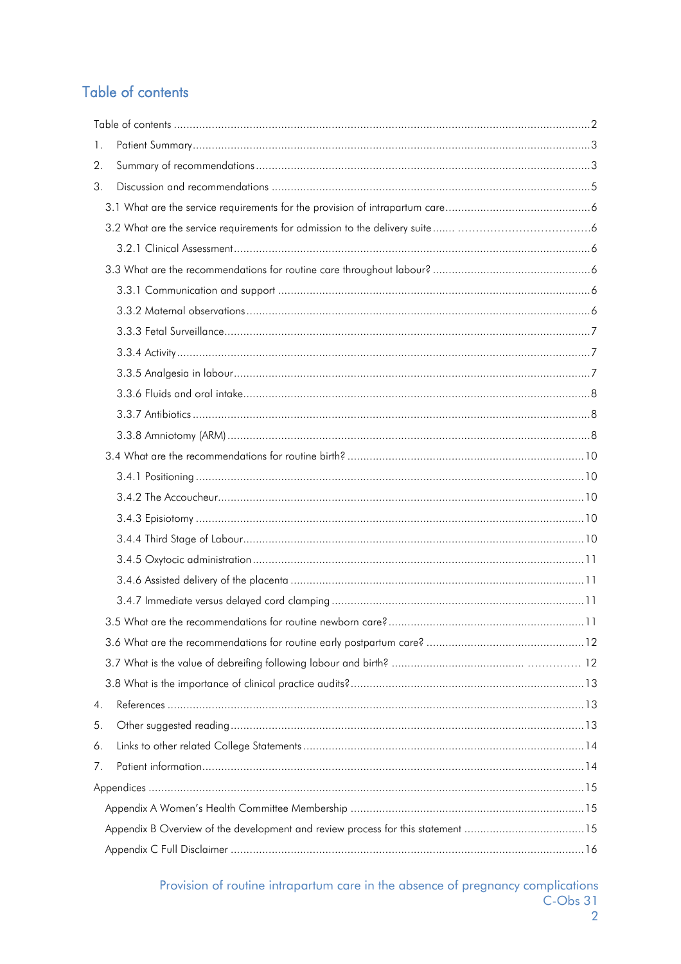# Table of contents

| 1. |                                                                                 |  |
|----|---------------------------------------------------------------------------------|--|
| 2. |                                                                                 |  |
| 3. |                                                                                 |  |
|    |                                                                                 |  |
|    |                                                                                 |  |
|    |                                                                                 |  |
|    |                                                                                 |  |
|    |                                                                                 |  |
|    |                                                                                 |  |
|    |                                                                                 |  |
|    |                                                                                 |  |
|    |                                                                                 |  |
|    |                                                                                 |  |
|    |                                                                                 |  |
|    |                                                                                 |  |
|    |                                                                                 |  |
|    |                                                                                 |  |
|    |                                                                                 |  |
|    |                                                                                 |  |
|    |                                                                                 |  |
|    |                                                                                 |  |
|    |                                                                                 |  |
|    |                                                                                 |  |
|    |                                                                                 |  |
|    |                                                                                 |  |
|    |                                                                                 |  |
|    |                                                                                 |  |
| 4. |                                                                                 |  |
| 5. |                                                                                 |  |
| 6. |                                                                                 |  |
| 7. |                                                                                 |  |
|    |                                                                                 |  |
|    |                                                                                 |  |
|    | Appendix B Overview of the development and review process for this statement 15 |  |
|    |                                                                                 |  |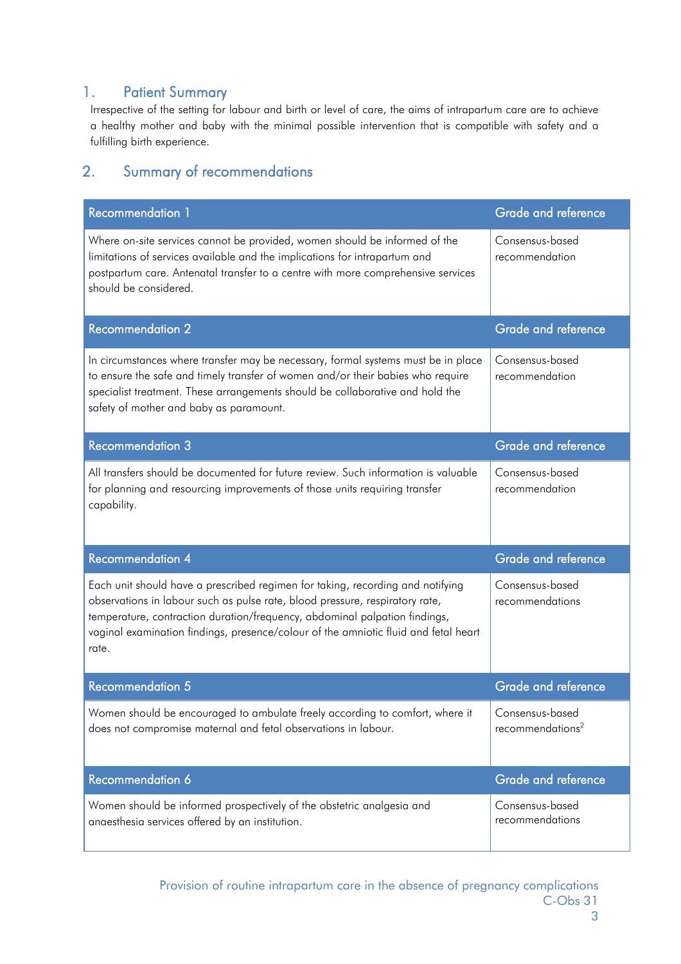## 1. Patient Summary

Irrespective of the setting for labour and birth or level of care, the aims of intrapartum care are to achieve a healthy mother and baby with the minimal possible intervention that is compatible with safety and a fulfilling birth experience.

# 2. Summary of recommendations

| <b>Recommendation 1</b>                                                                                                                                                                                                                                                                                                                      | <b>Grade and reference</b>                      |
|----------------------------------------------------------------------------------------------------------------------------------------------------------------------------------------------------------------------------------------------------------------------------------------------------------------------------------------------|-------------------------------------------------|
| Where on-site services cannot be provided, women should be informed of the<br>limitations of services available and the implications for intrapartum and<br>postpartum care. Antenatal transfer to a centre with more comprehensive services<br>should be considered.                                                                        | Consensus-based<br>recommendation               |
| <b>Recommendation 2</b>                                                                                                                                                                                                                                                                                                                      | <b>Grade and reference</b>                      |
| In circumstances where transfer may be necessary, formal systems must be in place<br>to ensure the safe and timely transfer of women and/or their babies who require<br>specialist treatment. These arrangements should be collaborative and hold the<br>safety of mother and baby as paramount.                                             | Consensus-based<br>recommendation               |
| <b>Recommendation 3</b>                                                                                                                                                                                                                                                                                                                      | <b>Grade and reference</b>                      |
| All transfers should be documented for future review. Such information is valuable<br>for planning and resourcing improvements of those units requiring transfer<br>capability.                                                                                                                                                              | Consensus-based<br>recommendation               |
| Recommendation 4                                                                                                                                                                                                                                                                                                                             | Grade and reference                             |
| Each unit should have a prescribed regimen for taking, recording and notifying<br>observations in labour such as pulse rate, blood pressure, respiratory rate,<br>temperature, contraction duration/frequency, abdominal palpation findings,<br>vaginal examination findings, presence/colour of the amniotic fluid and fetal heart<br>rate. | Consensus-based<br>recommendations              |
| <b>Recommendation 5</b>                                                                                                                                                                                                                                                                                                                      | <b>Grade and reference</b>                      |
| Women should be encouraged to ambulate freely according to comfort, where it<br>does not compromise maternal and fetal observations in labour.                                                                                                                                                                                               | Consensus-based<br>recommendations <sup>2</sup> |
| Recommendation 6                                                                                                                                                                                                                                                                                                                             | <b>Grade and reference</b>                      |
| Women should be informed prospectively of the obstetric analgesia and                                                                                                                                                                                                                                                                        | Consensus-based                                 |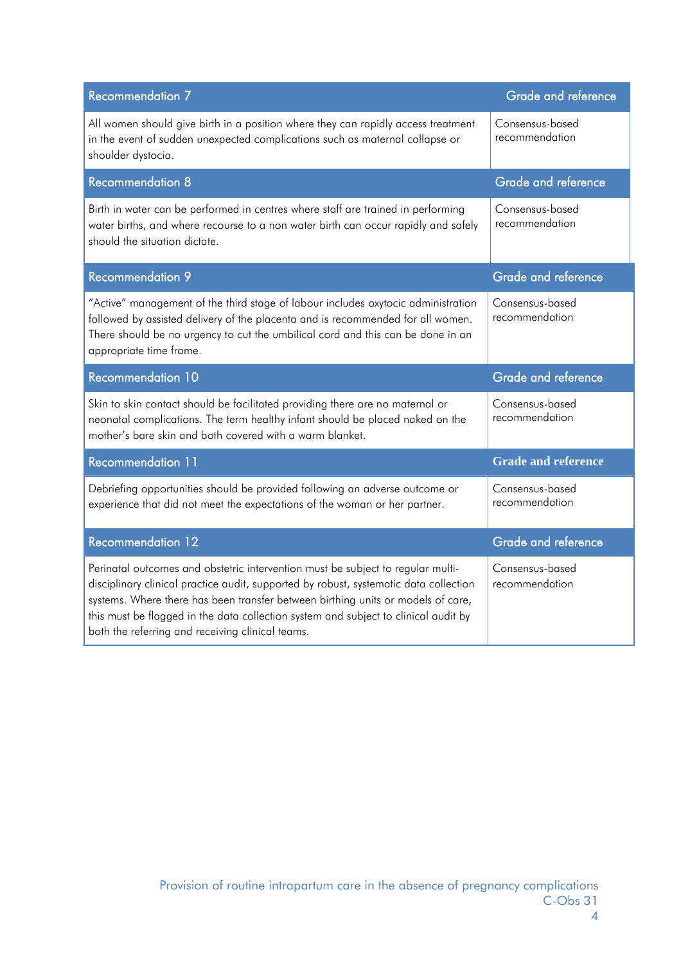| <b>Recommendation 7</b>                                                                                                                                                                                                                                                            | <b>Grade and reference</b>        |
|------------------------------------------------------------------------------------------------------------------------------------------------------------------------------------------------------------------------------------------------------------------------------------|-----------------------------------|
| All women should give birth in a position where they can rapidly access treatment<br>in the event of sudden unexpected complications such as maternal collapse or<br>shoulder dystocia.                                                                                            | Consensus-based<br>recommendation |
| <b>Recommendation 8</b>                                                                                                                                                                                                                                                            | Grade and reference               |
| Birth in water can be performed in centres where staff are trained in performing<br>water births, and where recourse to a non water birth can occur rapidly and safely<br>should the situation dictate.                                                                            | Consensus-based<br>recommendation |
| <b>Recommendation 9</b>                                                                                                                                                                                                                                                            | <b>Grade and reference</b>        |
| "Active" management of the third stage of labour includes oxytocic administration<br>followed by assisted delivery of the placenta and is recommended for all women.<br>There should be no urgency to cut the umbilical cord and this can be done in an<br>appropriate time frame. | Consensus-based<br>recommendation |
| <b>Recommendation 10</b>                                                                                                                                                                                                                                                           | <b>Grade and reference</b>        |
| Skin to skin contact should be facilitated providing there are no maternal or                                                                                                                                                                                                      | Consensus-based                   |
| neonatal complications. The term healthy infant should be placed naked on the<br>mother's bare skin and both covered with a warm blanket.                                                                                                                                          | recommendation                    |
| <b>Recommendation 11</b>                                                                                                                                                                                                                                                           | <b>Grade and reference</b>        |
| Debriefing opportunities should be provided following an adverse outcome or<br>experience that did not meet the expectations of the woman or her partner.                                                                                                                          | Consensus-based<br>recommendation |
| <b>Recommendation 12</b>                                                                                                                                                                                                                                                           | <b>Grade and reference</b>        |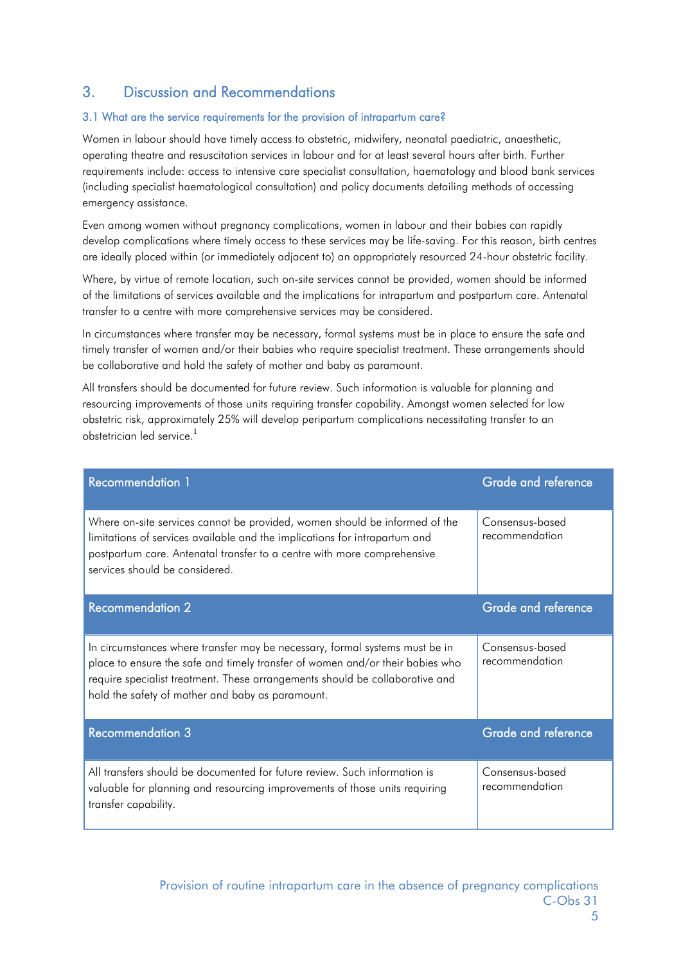# 3. Discussion and Recommendations

#### 3.1 What are the service requirements for the provision of intrapartum care?

Women in labour should have timely access to obstetric, midwifery, neonatal paediatric, anaesthetic, operating theatre and resuscitation services in labour and for at least several hours after birth. Further requirements include: access to intensive care specialist consultation, haematology and blood bank services (including specialist haematological consultation) and policy documents detailing methods of accessing emergency assistance.

Even among women without pregnancy complications, women in labour and their babies can rapidly develop complications where timely access to these services may be life-saving. For this reason, birth centres are ideally placed within (or immediately adjacent to) an appropriately resourced 24-hour obstetric facility.

Where, by virtue of remote location, such on-site services cannot be provided, women should be informed of the limitations of services available and the implications for intrapartum and postpartum care. Antenatal transfer to a centre with more comprehensive services may be considered.

In circumstances where transfer may be necessary, formal systems must be in place to ensure the safe and timely transfer of women and/or their babies who require specialist treatment. These arrangements should be collaborative and hold the safety of mother and baby as paramount.

All transfers should be documented for future review. Such information is valuable for planning and resourcing improvements of those units requiring transfer capability. Amongst women selected for low obstetric risk, approximately 25% will develop peripartum complications necessitating transfer to an obstetrician led service.<sup>1</sup>

| <b>Recommendation 1</b>                                                                                                                                                                                                                                                                          | <b>Grade and reference</b>        |
|--------------------------------------------------------------------------------------------------------------------------------------------------------------------------------------------------------------------------------------------------------------------------------------------------|-----------------------------------|
| Where on-site services cannot be provided, women should be informed of the<br>limitations of services available and the implications for intrapartum and<br>postpartum care. Antenatal transfer to a centre with more comprehensive<br>services should be considered.                            | Consensus-based<br>recommendation |
| <b>Recommendation 2</b>                                                                                                                                                                                                                                                                          | Grade and reference               |
| In circumstances where transfer may be necessary, formal systems must be in<br>place to ensure the safe and timely transfer of women and/or their babies who<br>require specialist treatment. These arrangements should be collaborative and<br>hold the safety of mother and baby as paramount. | Consensus-based<br>recommendation |
| <b>Recommendation 3</b>                                                                                                                                                                                                                                                                          | <b>Grade and reference</b>        |
| All transfers should be documented for future review. Such information is<br>valuable for planning and resourcing improvements of those units requiring<br>transfer capability.                                                                                                                  | Consensus-based<br>recommendation |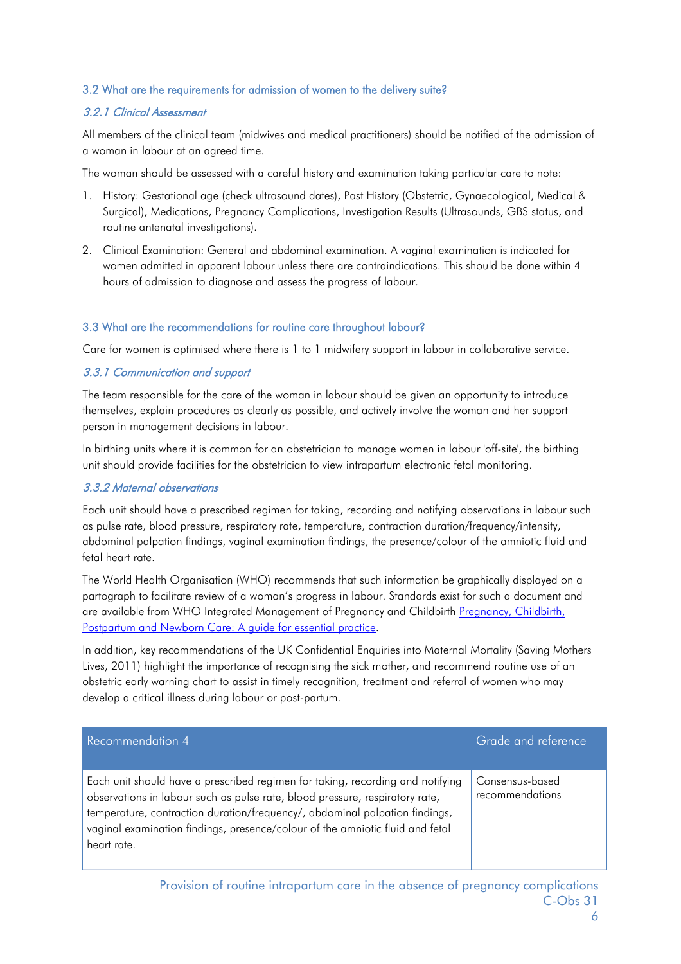#### 3.2 What are the requirements for admission of women to the delivery suite?

#### 3.2.1 Clinical Assessment

All members of the clinical team (midwives and medical practitioners) should be notified of the admission of a woman in labour at an agreed time.

The woman should be assessed with a careful history and examination taking particular care to note:

- 1. History: Gestational age (check ultrasound dates), Past History (Obstetric, Gynaecological, Medical & Surgical), Medications, Pregnancy Complications, Investigation Results (Ultrasounds, GBS status, and routine antenatal investigations).
- 2. Clinical Examination: General and abdominal examination. A vaginal examination is indicated for women admitted in apparent labour unless there are contraindications. This should be done within 4 hours of admission to diagnose and assess the progress of labour.

#### 3.3 What are the recommendations for routine care throughout labour?

Care for women is optimised where there is 1 to 1 midwifery support in labour in collaborative service.

#### 3.3.1 Communication and support

The team responsible for the care of the woman in labour should be given an opportunity to introduce themselves, explain procedures as clearly as possible, and actively involve the woman and her support person in management decisions in labour.

In birthing units where it is common for an obstetrician to manage women in labour 'off-site', the birthing unit should provide facilities for the obstetrician to view intrapartum electronic fetal monitoring.

#### 3.3.2 Maternal observations

Each unit should have a prescribed regimen for taking, recording and notifying observations in labour such as pulse rate, blood pressure, respiratory rate, temperature, contraction duration/frequency/intensity, abdominal palpation findings, vaginal examination findings, the presence/colour of the amniotic fluid and fetal heart rate.

The World Health Organisation (WHO) recommends that such information be graphically displayed on a partograph to facilitate review of a woman's progress in labour. Standards exist for such a document and are available from WHO Integrated Management of Pregnancy and Childbirth Pregnancy, Childbirth, [Postpartum and Newborn Care: A guide for essential practice.](http://apps.who.int/iris/bitstream/10665/249580/1/9789241549356-eng.pdf?ua=1)

In addition, key recommendations of the UK Confidential Enquiries into Maternal Mortality (Saving Mothers Lives, 2011) highlight the importance of recognising the sick mother, and recommend routine use of an obstetric early warning chart to assist in timely recognition, treatment and referral of women who may develop a critical illness during labour or post-partum.

| Recommendation 4                                                                                                                                                                                                                                                                                                                              | Grade and reference                |
|-----------------------------------------------------------------------------------------------------------------------------------------------------------------------------------------------------------------------------------------------------------------------------------------------------------------------------------------------|------------------------------------|
| Each unit should have a prescribed regimen for taking, recording and notifying<br>observations in labour such as pulse rate, blood pressure, respiratory rate,<br>temperature, contraction duration/frequency/, abdominal palpation findings,<br>vaginal examination findings, presence/colour of the amniotic fluid and fetal<br>heart rate. | Consensus-based<br>recommendations |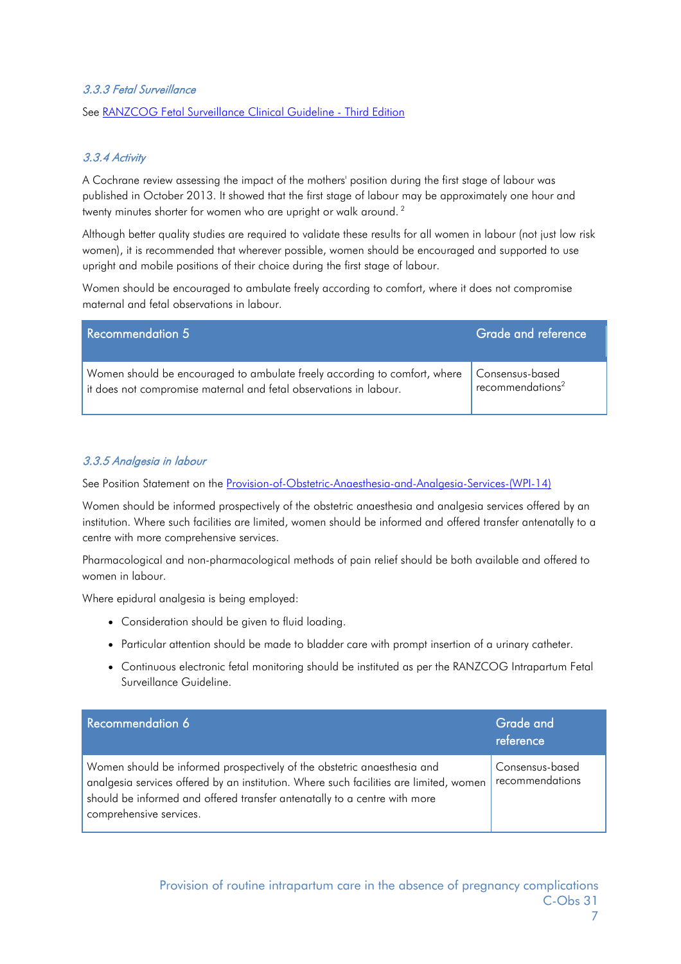#### 3.3.3 Fetal Surveillance

See [RANZCOG Fetal Surveillance Clinical Guideline -](https://www.ranzcog.edu.au/RANZCOG_SITE/media/RANZCOG-MEDIA/Women%27s%20Health/Statement%20and%20guidelines/Clinical-Obstetrics/Algorithm-May-2014-(1).pdf?ext=.pdf) Third Edition

#### 3.3.4 Activity

A Cochrane review assessing the impact of the mothers' position during the first stage of labour was published in October 2013. It showed that the first stage of labour may be approximately one hour and twenty minutes shorter for women who are upright or walk around. <sup>2</sup>

Although better quality studies are required to validate these results for all women in labour (not just low risk women), it is recommended that wherever possible, women should be encouraged and supported to use upright and mobile positions of their choice during the first stage of labour.

Women should be encouraged to ambulate freely according to comfort, where it does not compromise maternal and fetal observations in labour.

| Recommendation 5                                                          | Grade and reference          |
|---------------------------------------------------------------------------|------------------------------|
| Women should be encouraged to ambulate freely according to comfort, where | Consensus-based              |
| lit does not compromise maternal and fetal observations in labour.        | recommendations <sup>2</sup> |

#### 3.3.5 Analgesia in labour

See Position Statement on the [Provision-of-Obstetric-Anaesthesia-and-Analgesia-Services-\(WPI-14\)](https://www.ranzcog.edu.au/RANZCOG_SITE/media/RANZCOG-MEDIA/Women%27s%20Health/Statement%20and%20guidelines/Workforce%20and%20Practice%20Issues/Provision-of-Obstetric-Anaesthesia-and-Analgesia-Services-(WPI-14)-_-FINAL-February-2015.pdf?ext=.pdf) 

Women should be informed prospectively of the obstetric anaesthesia and analgesia services offered by an institution. Where such facilities are limited, women should be informed and offered transfer antenatally to a centre with more comprehensive services.

Pharmacological and non-pharmacological methods of pain relief should be both available and offered to women in labour.

Where epidural analgesia is being employed:

- Consideration should be given to fluid loading.
- Particular attention should be made to bladder care with prompt insertion of a urinary catheter.
- Continuous electronic fetal monitoring should be instituted as per the RANZCOG Intrapartum Fetal Surveillance Guideline.

| Recommendation 6                                                                                                                                                                                                                                                          | Grade and<br>reference             |
|---------------------------------------------------------------------------------------------------------------------------------------------------------------------------------------------------------------------------------------------------------------------------|------------------------------------|
| Women should be informed prospectively of the obstetric anaesthesia and<br>analgesia services offered by an institution. Where such facilities are limited, women<br>should be informed and offered transfer antenatally to a centre with more<br>comprehensive services. | Consensus-based<br>recommendations |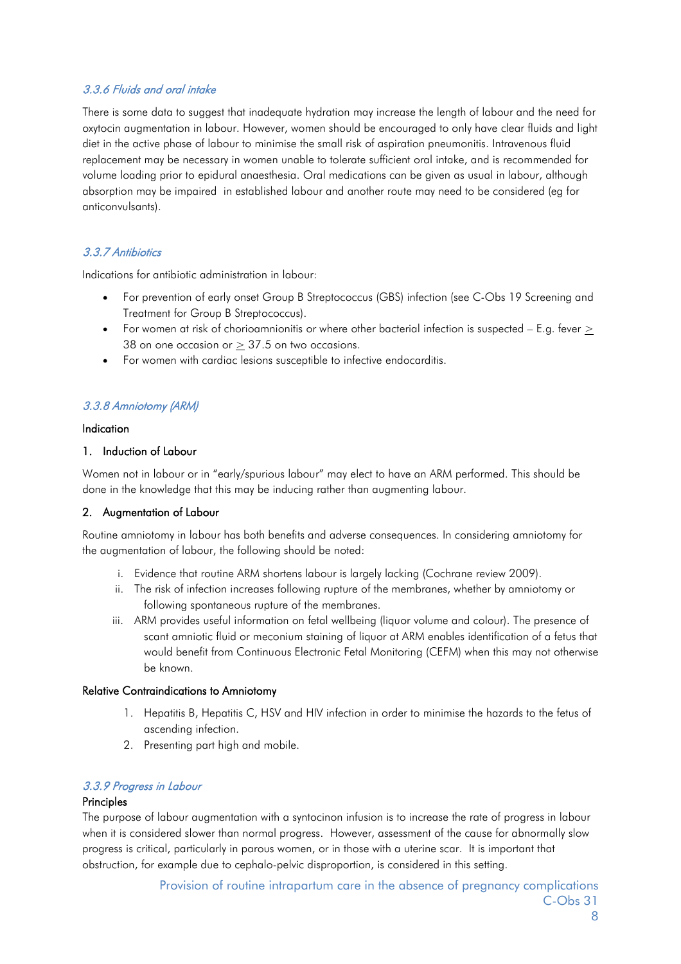#### 3.3.6 Fluids and oral intake

There is some data to suggest that inadequate hydration may increase the length of labour and the need for oxytocin augmentation in labour. However, women should be encouraged to only have clear fluids and light diet in the active phase of labour to minimise the small risk of aspiration pneumonitis. Intravenous fluid replacement may be necessary in women unable to tolerate sufficient oral intake, and is recommended for volume loading prior to epidural anaesthesia. Oral medications can be given as usual in labour, although absorption may be impaired in established labour and another route may need to be considered (eg for anticonvulsants).

#### 3.3.7 Antibiotics

Indications for antibiotic administration in labour:

- For prevention of early onset Group B Streptococcus (GBS) infection (see C-Obs 19 Screening and Treatment for Group B Streptococcus).
- For women at risk of chorioamnionitis or where other bacterial infection is suspected E.g. fever  $\geq$ 38 on one occasion or  $\geq$  37.5 on two occasions.
- For women with cardiac lesions susceptible to infective endocarditis.

#### 3.3.8 Amniotomy (ARM)

#### Indication

#### 1. Induction of Labour

Women not in labour or in "early/spurious labour" may elect to have an ARM performed. This should be done in the knowledge that this may be inducing rather than augmenting labour.

#### 2. Augmentation of Labour

Routine amniotomy in labour has both benefits and adverse consequences. In considering amniotomy for the augmentation of labour, the following should be noted:

- i. Evidence that routine ARM shortens labour is largely lacking (Cochrane review 2009).
- ii. The risk of infection increases following rupture of the membranes, whether by amniotomy or following spontaneous rupture of the membranes.
- iii. ARM provides useful information on fetal wellbeing (liquor volume and colour). The presence of scant amniotic fluid or meconium staining of liquor at ARM enables identification of a fetus that would benefit from Continuous Electronic Fetal Monitoring (CEFM) when this may not otherwise be known.

#### Relative Contraindications to Amniotomy

- 1. Hepatitis B, Hepatitis C, HSV and HIV infection in order to minimise the hazards to the fetus of ascending infection.
- 2. Presenting part high and mobile.

#### 3.3.9 Progress in Labour

#### Principles

The purpose of labour augmentation with a syntocinon infusion is to increase the rate of progress in labour when it is considered slower than normal progress. However, assessment of the cause for abnormally slow progress is critical, particularly in parous women, or in those with a uterine scar. It is important that obstruction, for example due to cephalo-pelvic disproportion, is considered in this setting.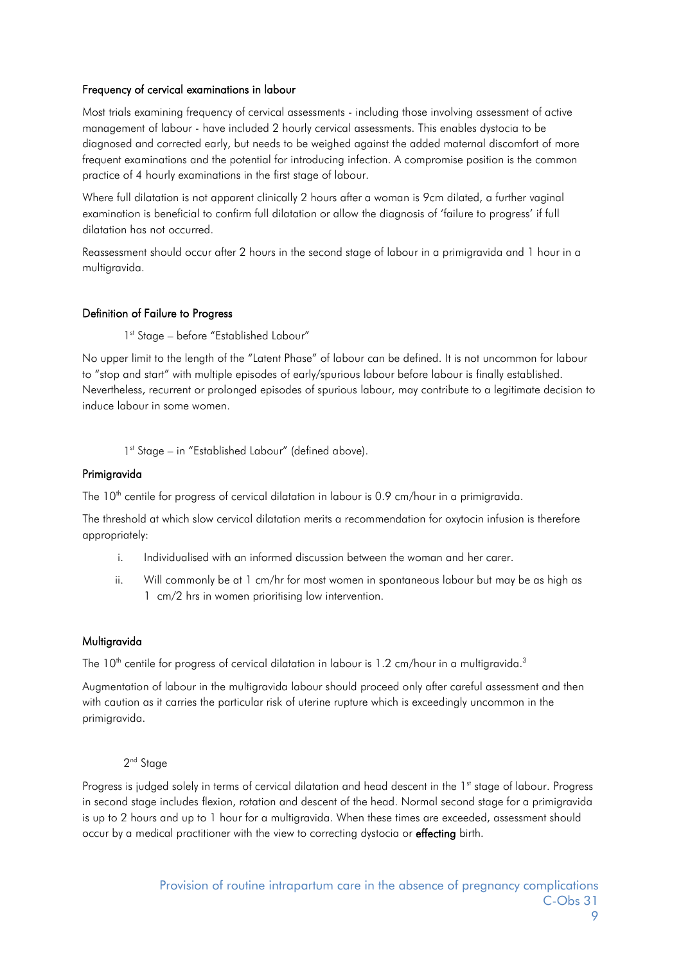#### Frequency of cervical examinations in labour

Most trials examining frequency of cervical assessments - including those involving assessment of active management of labour - have included 2 hourly cervical assessments. This enables dystocia to be diagnosed and corrected early, but needs to be weighed against the added maternal discomfort of more frequent examinations and the potential for introducing infection. A compromise position is the common practice of 4 hourly examinations in the first stage of labour.

Where full dilatation is not apparent clinically 2 hours after a woman is 9cm dilated, a further vaginal examination is beneficial to confirm full dilatation or allow the diagnosis of 'failure to progress' if full dilatation has not occurred.

Reassessment should occur after 2 hours in the second stage of labour in a primigravida and 1 hour in a multigravida.

#### Definition of Failure to Progress

1<sup>st</sup> Stage – before "Established Labour"

No upper limit to the length of the "Latent Phase" of labour can be defined. It is not uncommon for labour to "stop and start" with multiple episodes of early/spurious labour before labour is finally established. Nevertheless, recurrent or prolonged episodes of spurious labour, may contribute to a legitimate decision to induce labour in some women.

1<sup>st</sup> Stage – in "Established Labour" (defined above).

#### Primigravida

The 10<sup>th</sup> centile for progress of cervical dilatation in labour is 0.9 cm/hour in a primigravida.

The threshold at which slow cervical dilatation merits a recommendation for oxytocin infusion is therefore appropriately:

- i. Individualised with an informed discussion between the woman and her carer.
- ii. Will commonly be at 1 cm/hr for most women in spontaneous labour but may be as high as 1 cm/2 hrs in women prioritising low intervention.

#### Multigravida

The  $10<sup>th</sup>$  centile for progress of cervical dilatation in labour is 1.2 cm/hour in a multigravida.<sup>3</sup>

Augmentation of labour in the multigravida labour should proceed only after careful assessment and then with caution as it carries the particular risk of uterine rupture which is exceedingly uncommon in the primigravida.

#### 2<sup>nd</sup> Stage

Progress is judged solely in terms of cervical dilatation and head descent in the 1<sup>st</sup> stage of labour. Progress in second stage includes flexion, rotation and descent of the head. Normal second stage for a primigravida is up to 2 hours and up to 1 hour for a multigravida. When these times are exceeded, assessment should occur by a medical practitioner with the view to correcting dystocia or effecting birth.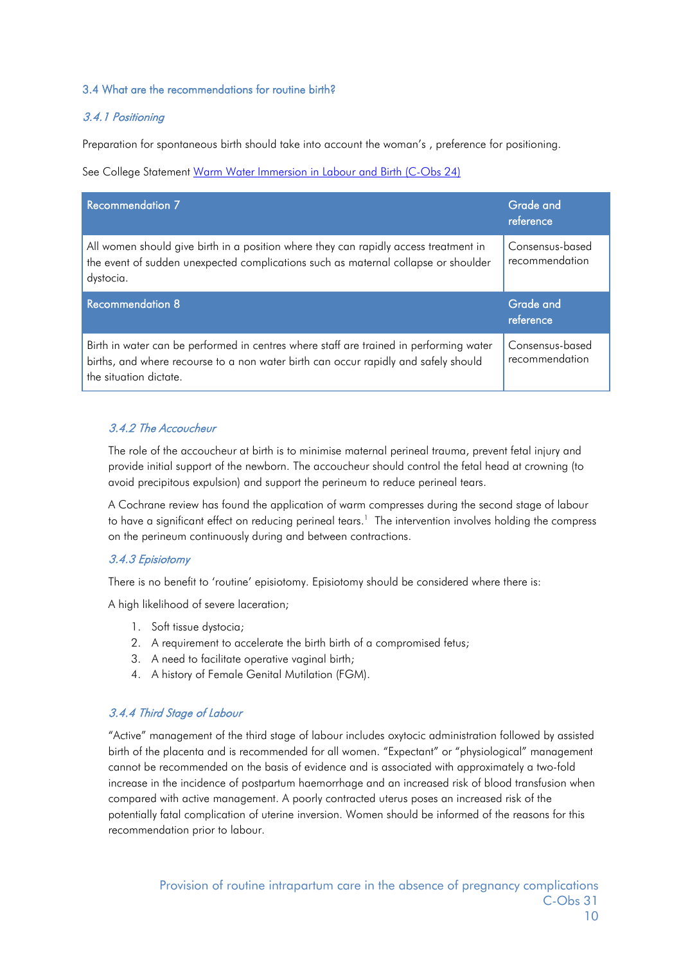#### 3.4 What are the recommendations for routine birth?

#### 3.4.1 Positioning

Preparation for spontaneous birth should take into account the woman's , preference for positioning.

See College Statement [Warm Water Immersion in Labour and Birth \(C-Obs 24\)](https://www.ranzcog.edu.au/RANZCOG_SITE/media/RANZCOG-MEDIA/Women%27s%20Health/Statement%20and%20guidelines/Clinical-Obstetrics/Warm-water-immersion-during-labour-and-birth-(C-Obs-24)-Review-July-2017.pdf?ext=.pdf)

| <b>Recommendation 7</b>                                                                                                                                                                 | Grade and<br>reference            |
|-----------------------------------------------------------------------------------------------------------------------------------------------------------------------------------------|-----------------------------------|
| All women should give birth in a position where they can rapidly access treatment in<br>the event of sudden unexpected complications such as maternal collapse or shoulder<br>dystocia. | Consensus-based<br>recommendation |
|                                                                                                                                                                                         |                                   |
| <b>Recommendation 8</b>                                                                                                                                                                 | Grade and<br>reference            |

#### 3.4.2 The Accoucheur

The role of the accoucheur at birth is to minimise maternal perineal trauma, prevent fetal injury and provide initial support of the newborn. The accoucheur should control the fetal head at crowning (to avoid precipitous expulsion) and support the perineum to reduce perineal tears.

A Cochrane review has found the application of warm compresses during the second stage of labour to have a significant effect on reducing perineal tears. $^1\,$  The intervention involves holding the compress on the perineum continuously during and between contractions.

#### 3.4.3 Episiotomy

There is no benefit to 'routine' episiotomy. Episiotomy should be considered where there is:

A high likelihood of severe laceration;

- 1. Soft tissue dystocia;
- 2. A requirement to accelerate the birth birth of a compromised fetus;
- 3. A need to facilitate operative vaginal birth;
- 4. A history of Female Genital Mutilation (FGM).

#### 3.4.4 Third Stage of Labour

"Active" management of the third stage of labour includes oxytocic administration followed by assisted birth of the placenta and is recommended for all women. "Expectant" or "physiological" management cannot be recommended on the basis of evidence and is associated with approximately a two-fold increase in the incidence of postpartum haemorrhage and an increased risk of blood transfusion when compared with active management. A poorly contracted uterus poses an increased risk of the potentially fatal complication of uterine inversion. Women should be informed of the reasons for this recommendation prior to labour.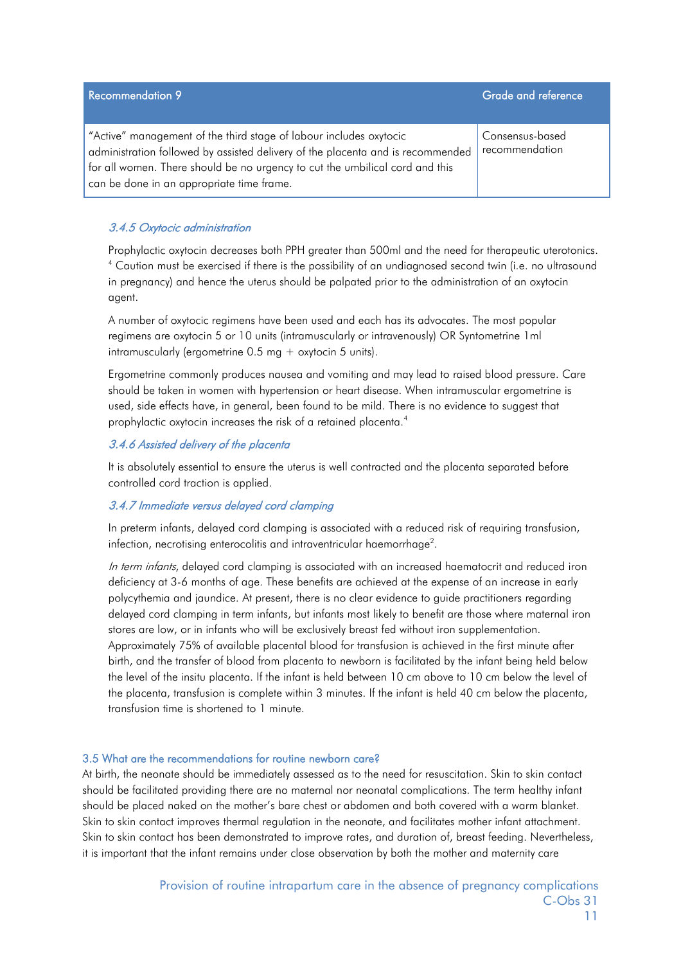| <b>Recommendation 9</b>                                                                                                                                                                                                                                                            | Grade and reference               |
|------------------------------------------------------------------------------------------------------------------------------------------------------------------------------------------------------------------------------------------------------------------------------------|-----------------------------------|
| "Active" management of the third stage of labour includes oxytocic<br>administration followed by assisted delivery of the placenta and is recommended<br>for all women. There should be no urgency to cut the umbilical cord and this<br>can be done in an appropriate time frame. | Consensus-based<br>recommendation |

#### 3.4.5 Oxytocic administration

Prophylactic oxytocin decreases both PPH greater than 500ml and the need for therapeutic uterotonics. <sup>4</sup> Caution must be exercised if there is the possibility of an undiagnosed second twin (i.e. no ultrasound in pregnancy) and hence the uterus should be palpated prior to the administration of an oxytocin agent.

A number of oxytocic regimens have been used and each has its advocates. The most popular regimens are oxytocin 5 or 10 units (intramuscularly or intravenously) OR Syntometrine 1ml intramuscularly (ergometrine 0.5 mg + oxytocin 5 units).

Ergometrine commonly produces nausea and vomiting and may lead to raised blood pressure. Care should be taken in women with hypertension or heart disease. When intramuscular ergometrine is used, side effects have, in general, been found to be mild. There is no evidence to suggest that prophylactic oxytocin increases the risk of a retained placenta.<sup>4</sup>

#### 3.4.6 Assisted delivery of the placenta

It is absolutely essential to ensure the uterus is well contracted and the placenta separated before controlled cord traction is applied.

#### 3.4.7 Immediate versus delayed cord clamping

In preterm infants, delayed cord clamping is associated with a reduced risk of requiring transfusion, infection, necrotising enterocolitis and intraventricular haemorrhage<sup>2</sup>.

In term infants, delayed cord clamping is associated with an increased haematocrit and reduced iron deficiency at 3-6 months of age. These benefits are achieved at the expense of an increase in early polycythemia and jaundice. At present, there is no clear evidence to guide practitioners regarding delayed cord clamping in term infants, but infants most likely to benefit are those where maternal iron stores are low, or in infants who will be exclusively breast fed without iron supplementation. Approximately 75% of available placental blood for transfusion is achieved in the first minute after birth, and the transfer of blood from placenta to newborn is facilitated by the infant being held below the level of the insitu placenta. If the infant is held between 10 cm above to 10 cm below the level of the placenta, transfusion is complete within 3 minutes. If the infant is held 40 cm below the placenta, transfusion time is shortened to 1 minute.

#### 3.5 What are the recommendations for routine newborn care?

At birth, the neonate should be immediately assessed as to the need for resuscitation. Skin to skin contact should be facilitated providing there are no maternal nor neonatal complications. The term healthy infant should be placed naked on the mother's bare chest or abdomen and both covered with a warm blanket. Skin to skin contact improves thermal regulation in the neonate, and facilitates mother infant attachment. Skin to skin contact has been demonstrated to improve rates, and duration of, breast feeding. Nevertheless, it is important that the infant remains under close observation by both the mother and maternity care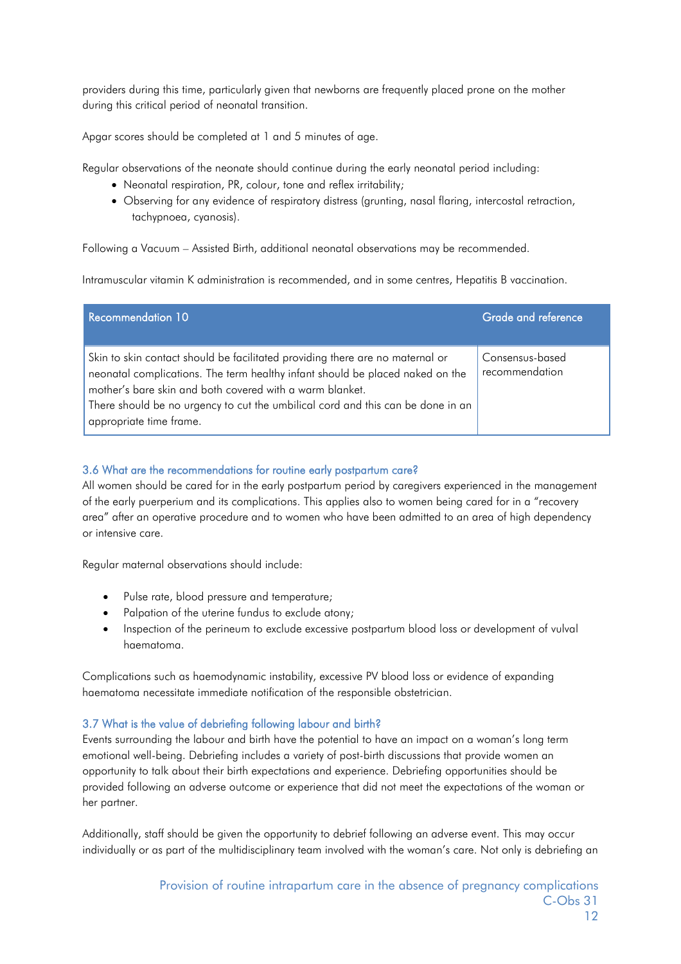providers during this time, particularly given that newborns are frequently placed prone on the mother during this critical period of neonatal transition.

Apgar scores should be completed at 1 and 5 minutes of age.

Regular observations of the neonate should continue during the early neonatal period including:

- Neonatal respiration, PR, colour, tone and reflex irritability;
- Observing for any evidence of respiratory distress (grunting, nasal flaring, intercostal retraction, tachypnoea, cyanosis).

Following a Vacuum – Assisted Birth, additional neonatal observations may be recommended.

Intramuscular vitamin K administration is recommended, and in some centres, Hepatitis B vaccination.

| <b>Recommendation 10</b>                                                                                                                                                                                                                                                                                                                 | Grade and reference               |
|------------------------------------------------------------------------------------------------------------------------------------------------------------------------------------------------------------------------------------------------------------------------------------------------------------------------------------------|-----------------------------------|
| Skin to skin contact should be facilitated providing there are no maternal or<br>neonatal complications. The term healthy infant should be placed naked on the<br>mother's bare skin and both covered with a warm blanket.<br>There should be no urgency to cut the umbilical cord and this can be done in an<br>appropriate time frame. | Consensus-based<br>recommendation |

#### 3.6 What are the recommendations for routine early postpartum care?

All women should be cared for in the early postpartum period by caregivers experienced in the management of the early puerperium and its complications. This applies also to women being cared for in a "recovery area" after an operative procedure and to women who have been admitted to an area of high dependency or intensive care.

Regular maternal observations should include:

- Pulse rate, blood pressure and temperature;
- Palpation of the uterine fundus to exclude atony;
- Inspection of the perineum to exclude excessive postpartum blood loss or development of vulval haematoma.

Complications such as haemodynamic instability, excessive PV blood loss or evidence of expanding haematoma necessitate immediate notification of the responsible obstetrician.

#### 3.7 What is the value of debriefing following labour and birth?

Events surrounding the labour and birth have the potential to have an impact on a woman's long term emotional well-being. Debriefing includes a variety of post-birth discussions that provide women an opportunity to talk about their birth expectations and experience. Debriefing opportunities should be provided following an adverse outcome or experience that did not meet the expectations of the woman or her partner.

Additionally, staff should be given the opportunity to debrief following an adverse event. This may occur individually or as part of the multidisciplinary team involved with the woman's care. Not only is debriefing an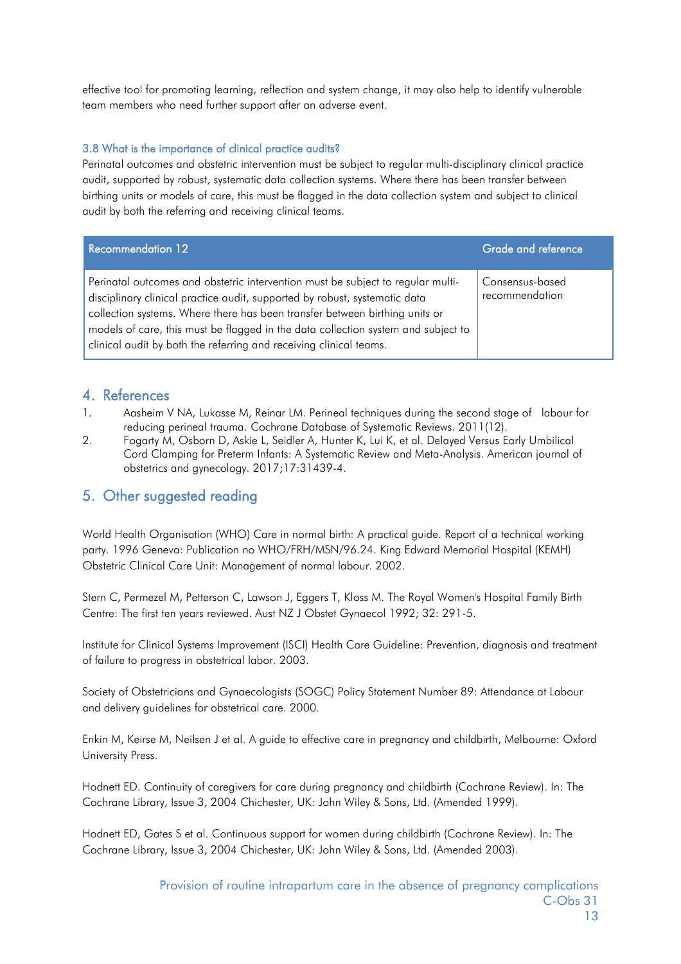effective tool for promoting learning, reflection and system change, it may also help to identify vulnerable team members who need further support after an adverse event.

#### 3.8 What is the importance of clinical practice audits?

Perinatal outcomes and obstetric intervention must be subject to regular multi-disciplinary clinical practice audit, supported by robust, systematic data collection systems. Where there has been transfer between birthing units or models of care, this must be flagged in the data collection system and subject to clinical audit by both the referring and receiving clinical teams.

| Recommendation 12                                                                                                                                                                                                                                                                                                                                                                                       | Grade and reference               |
|---------------------------------------------------------------------------------------------------------------------------------------------------------------------------------------------------------------------------------------------------------------------------------------------------------------------------------------------------------------------------------------------------------|-----------------------------------|
| Perinatal outcomes and obstetric intervention must be subject to regular multi-<br>disciplinary clinical practice audit, supported by robust, systematic data<br>collection systems. Where there has been transfer between birthing units or<br>models of care, this must be flagged in the data collection system and subject to<br>clinical audit by both the referring and receiving clinical teams. | Consensus-based<br>recommendation |

#### 4. References

- 1. Aasheim V NA, Lukasse M, Reinar LM. Perineal techniques during the second stage of labour for reducing perineal trauma. Cochrane Database of Systematic Reviews. 2011(12).
- 2. Fogarty M, Osborn D, Askie L, Seidler A, Hunter K, Lui K, et al. Delayed Versus Early Umbilical Cord Clamping for Preterm Infants: A Systematic Review and Meta-Analysis. American journal of obstetrics and gynecology. 2017;17:31439-4.

## 5. Other suggested reading

World Health Organisation (WHO) Care in normal birth: A practical guide. Report of a technical working party. 1996 Geneva: Publication no WHO/FRH/MSN/96.24. King Edward Memorial Hospital (KEMH) Obstetric Clinical Care Unit: Management of normal labour. 2002.

Stern C, Permezel M, Petterson C, Lawson J, Eggers T, Kloss M. The Royal Women's Hospital Family Birth Centre: The first ten years reviewed. Aust NZ J Obstet Gynaecol 1992; 32: 291-5.

Institute for Clinical Systems Improvement (ISCI) Health Care Guideline: Prevention, diagnosis and treatment of failure to progress in obstetrical labor. 2003.

Society of Obstetricians and Gynaecologists (SOGC) Policy Statement Number 89: Attendance at Labour and delivery guidelines for obstetrical care. 2000.

Enkin M, Keirse M, Neilsen J et al. A guide to effective care in pregnancy and childbirth, Melbourne: Oxford University Press.

Hodnett ED. Continuity of caregivers for care during pregnancy and childbirth (Cochrane Review). In: The Cochrane Library, Issue 3, 2004 Chichester, UK: John Wiley & Sons, Ltd. (Amended 1999).

Hodnett ED, Gates S et al. Continuous support for women during childbirth (Cochrane Review). In: The Cochrane Library, Issue 3, 2004 Chichester, UK: John Wiley & Sons, Ltd. (Amended 2003).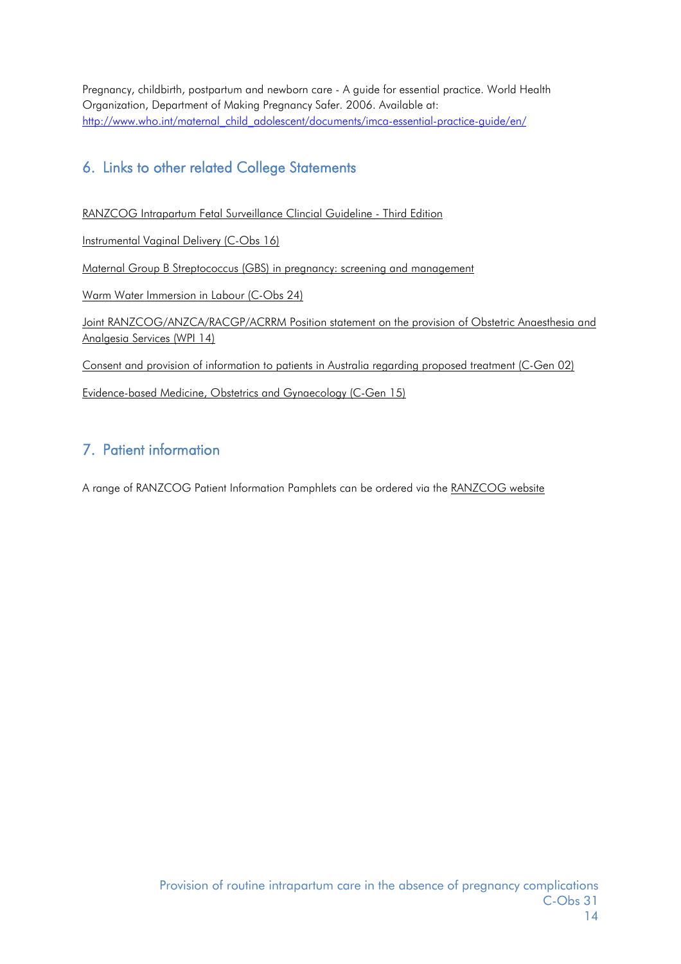Pregnancy, childbirth, postpartum and newborn care - A guide for essential practice. World Health Organization, Department of Making Pregnancy Safer. 2006. Available at: [http://www.who.int/maternal\\_child\\_adolescent/documents/imca-essential-practice-guide/en/](http://www.who.int/maternal_child_adolescent/documents/imca-essential-practice-guide/en/)

# 6. Links to other related College Statements

[RANZCOG Intrapartum Fetal Surveillance Clincial Guideline -](https://www.ranzcog.edu.au/RANZCOG_SITE/media/RANZCOG-MEDIA/Women%27s%20Health/Statement%20and%20guidelines/Clinical-Obstetrics/Algorithm-May-2014-(1).pdf?ext=.pdf) Third Edition

[Instrumental Vaginal Delivery \(C-Obs 16\)](https://www.ranzcog.edu.au/RANZCOG_SITE/media/RANZCOG-MEDIA/Women%27s%20Health/Statement%20and%20guidelines/Clinical-Obstetrics/Instrumental-Vaginal-Birth-(C-Obs-16)-Review-March-2016.pdf?ext=.pdf)

[Maternal Group B Streptococcus \(GBS\) in pregnancy: screening and management](https://www.ranzcog.edu.au/RANZCOG_SITE/media/RANZCOG-MEDIA/Women%27s%20Health/Statement%20and%20guidelines/Clinical-Obstetrics/Maternal-Group-B-Streptococcus-in-pregnancy-screening-and-management-(C-Obs-19)-Review-March-2016.pdf?ext=.pdf)

[Warm Water Immersion in Labour \(C-Obs 24\)](https://www.ranzcog.edu.au/RANZCOG_SITE/media/RANZCOG-MEDIA/Women%27s%20Health/Statement%20and%20guidelines/Clinical-Obstetrics/Warm-water-immersion-during-labour-and-birth-(C-Obs-24)-Review-July-2017.pdf?ext=.pdf)

[Joint RANZCOG/ANZCA/RACGP/ACRRM Position statement on the provision of Obstetric Anaesthesia and](https://www.ranzcog.edu.au/RANZCOG_SITE/media/RANZCOG-MEDIA/Women%27s%20Health/Statement%20and%20guidelines/Workforce%20and%20Practice%20Issues/Provision-of-Obstetric-Anaesthesia-and-Analgesia-Services-(WPI-14)-_-FINAL-February-2015.pdf?ext=.pdf)  [Analgesia Services \(WPI 14\)](https://www.ranzcog.edu.au/RANZCOG_SITE/media/RANZCOG-MEDIA/Women%27s%20Health/Statement%20and%20guidelines/Workforce%20and%20Practice%20Issues/Provision-of-Obstetric-Anaesthesia-and-Analgesia-Services-(WPI-14)-_-FINAL-February-2015.pdf?ext=.pdf)

[Consent and provision of information to patients in Australia regarding proposed treatment \(C-Gen 02\)](https://www.ranzcog.edu.au/RANZCOG_SITE/media/RANZCOG-MEDIA/Women%27s%20Health/Statement%20and%20guidelines/Clinical%20-%20General/Consent-and-provision-of-information-to-patients-in-Australia-(C-Gen-2a)-Review-July-2016.pdf?ext=.pdf)

[Evidence-based Medicine, Obstetrics and Gynaecology \(C-Gen 15\)](https://www.ranzcog.edu.au/RANZCOG_SITE/media/RANZCOG-MEDIA/Women%27s%20Health/Statement%20and%20guidelines/Clinical%20-%20General/Evidence-based-medicine,-Obstetrics-and-Gynaecology-(C-Gen-15)-Review-March-2016.pdf?ext=.pdf)

# 7. Patient information

A range of RANZCOG Patient Information Pamphlets can be ordered via the [RANZCOG website](https://www.ranzcog.edu.au/Womens-Health/Patient-Information-Guides/Patient-Information-Pamphlets)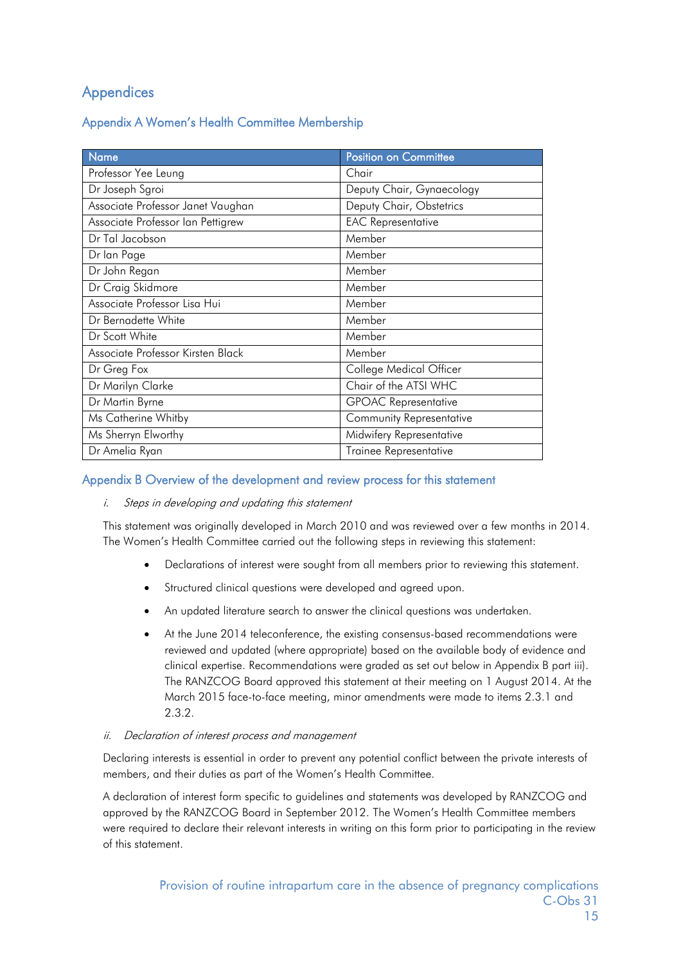# **Appendices**

Appendix A Women's Health Committee Membership

| <b>Name</b>                       | <b>Position on Committee</b>    |
|-----------------------------------|---------------------------------|
| Professor Yee Leung               | Chair                           |
| Dr Joseph Sgroi                   | Deputy Chair, Gynaecology       |
| Associate Professor Janet Vaughan | Deputy Chair, Obstetrics        |
| Associate Professor Ian Pettigrew | <b>EAC Representative</b>       |
| Dr Tal Jacobson                   | Member                          |
| Dr lan Page                       | Member                          |
| Dr John Regan                     | Member                          |
| Dr Craig Skidmore                 | Member                          |
| Associate Professor Lisa Hui      | Member                          |
| Dr Bernadette White               | Member                          |
| Dr Scott White                    | Member                          |
| Associate Professor Kirsten Black | Member                          |
| Dr Greg Fox                       | College Medical Officer         |
| Dr Marilyn Clarke                 | Chair of the ATSI WHC           |
| Dr Martin Byrne                   | <b>GPOAC Representative</b>     |
| Ms Catherine Whitby               | <b>Community Representative</b> |
| Ms Sherryn Elworthy               | Midwifery Representative        |
| Dr Amelia Ryan                    | Trainee Representative          |

#### Appendix B Overview of the development and review process for this statement

#### i. Steps in developing and updating this statement

This statement was originally developed in March 2010 and was reviewed over a few months in 2014. The Women's Health Committee carried out the following steps in reviewing this statement:

- Declarations of interest were sought from all members prior to reviewing this statement.
- Structured clinical questions were developed and agreed upon.
- An updated literature search to answer the clinical questions was undertaken.
- At the June 2014 teleconference, the existing consensus-based recommendations were reviewed and updated (where appropriate) based on the available body of evidence and clinical expertise. Recommendations were graded as set out below in Appendix B part iii). The RANZCOG Board approved this statement at their meeting on 1 August 2014. At the March 2015 face-to-face meeting, minor amendments were made to items 2.3.1 and 2.3.2.
- ii. Declaration of interest process and management

Declaring interests is essential in order to prevent any potential conflict between the private interests of members, and their duties as part of the Women's Health Committee.

A declaration of interest form specific to guidelines and statements was developed by RANZCOG and approved by the RANZCOG Board in September 2012. The Women's Health Committee members were required to declare their relevant interests in writing on this form prior to participating in the review of this statement.